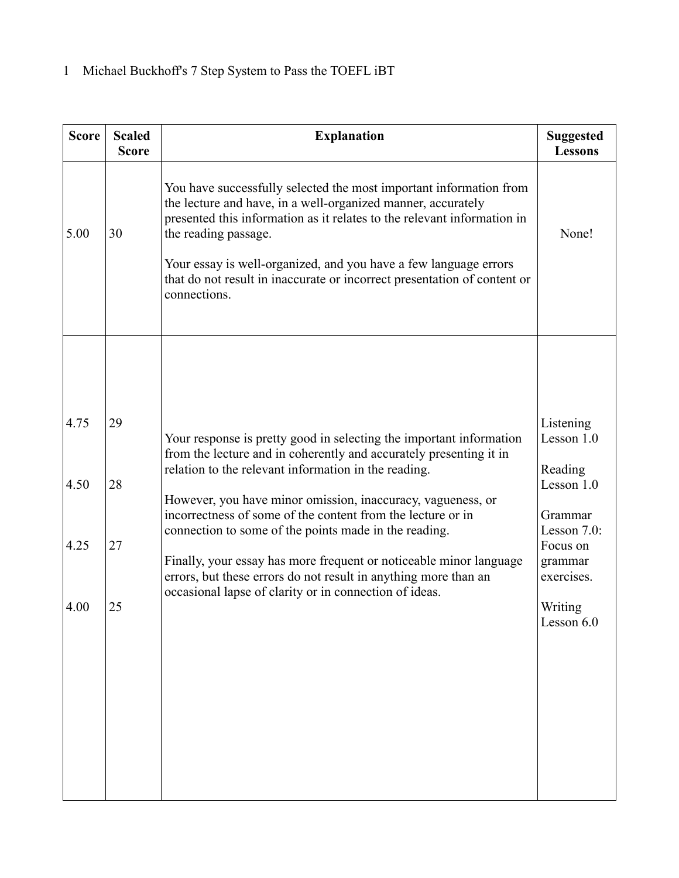| <b>Score</b> | <b>Scaled</b><br><b>Score</b> | <b>Explanation</b>                                                                                                                                                                                                                                                                                                                                                                                    | <b>Suggested</b><br><b>Lessons</b>    |
|--------------|-------------------------------|-------------------------------------------------------------------------------------------------------------------------------------------------------------------------------------------------------------------------------------------------------------------------------------------------------------------------------------------------------------------------------------------------------|---------------------------------------|
| 5.00         | 30                            | You have successfully selected the most important information from<br>the lecture and have, in a well-organized manner, accurately<br>presented this information as it relates to the relevant information in<br>the reading passage.<br>Your essay is well-organized, and you have a few language errors<br>that do not result in inaccurate or incorrect presentation of content or<br>connections. | None!                                 |
| 4.75         | 29                            |                                                                                                                                                                                                                                                                                                                                                                                                       | Listening                             |
| 4.50         | 28                            | Your response is pretty good in selecting the important information<br>from the lecture and in coherently and accurately presenting it in<br>relation to the relevant information in the reading.                                                                                                                                                                                                     | Lesson $1.0$<br>Reading<br>Lesson 1.0 |
|              |                               | However, you have minor omission, inaccuracy, vagueness, or<br>incorrectness of some of the content from the lecture or in<br>connection to some of the points made in the reading.                                                                                                                                                                                                                   | Grammar<br>Lesson 7.0:                |
| 4.25         | 27                            | Finally, your essay has more frequent or noticeable minor language<br>errors, but these errors do not result in anything more than an                                                                                                                                                                                                                                                                 | Focus on<br>grammar<br>exercises.     |
| 4.00         | 25                            | occasional lapse of clarity or in connection of ideas.                                                                                                                                                                                                                                                                                                                                                | Writing<br>Lesson 6.0                 |
|              |                               |                                                                                                                                                                                                                                                                                                                                                                                                       |                                       |
|              |                               |                                                                                                                                                                                                                                                                                                                                                                                                       |                                       |
|              |                               |                                                                                                                                                                                                                                                                                                                                                                                                       |                                       |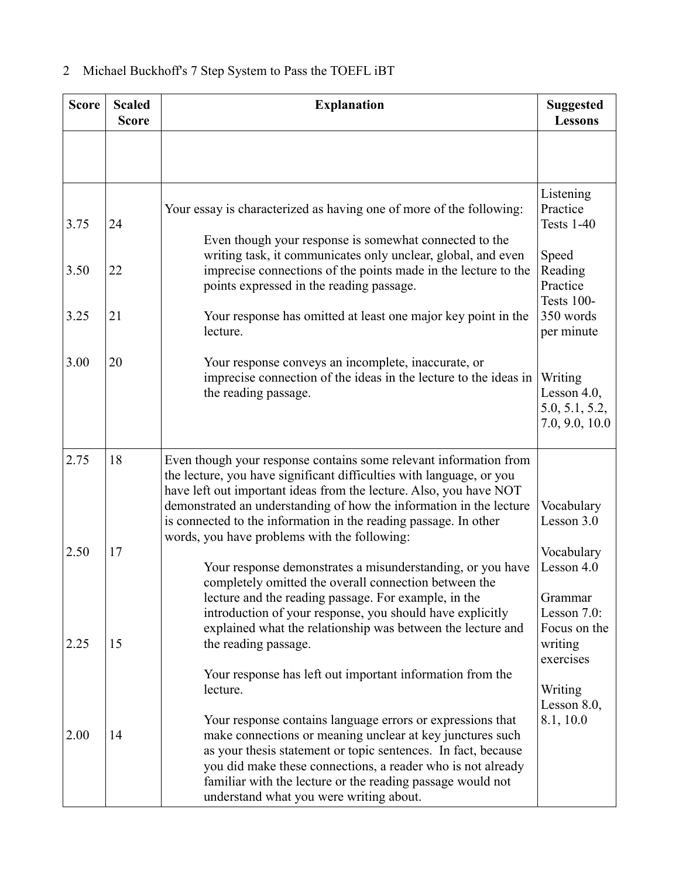| <b>Score</b> | <b>Scaled</b><br><b>Score</b> | <b>Explanation</b>                                                                                                                                                                                                                                                                                                                                                                                         | <b>Suggested</b><br><b>Lessons</b>                                 |
|--------------|-------------------------------|------------------------------------------------------------------------------------------------------------------------------------------------------------------------------------------------------------------------------------------------------------------------------------------------------------------------------------------------------------------------------------------------------------|--------------------------------------------------------------------|
|              |                               |                                                                                                                                                                                                                                                                                                                                                                                                            |                                                                    |
| 3.75         | 24                            | Your essay is characterized as having one of more of the following:<br>Even though your response is somewhat connected to the                                                                                                                                                                                                                                                                              | Listening<br>Practice<br><b>Tests 1-40</b>                         |
| 3.50         | 22                            | writing task, it communicates only unclear, global, and even<br>imprecise connections of the points made in the lecture to the<br>points expressed in the reading passage.                                                                                                                                                                                                                                 | Speed<br>Reading<br>Practice<br><b>Tests 100-</b>                  |
| 3.25         | 21                            | Your response has omitted at least one major key point in the<br>lecture.                                                                                                                                                                                                                                                                                                                                  | 350 words<br>per minute                                            |
| 3.00         | 20                            | Your response conveys an incomplete, inaccurate, or<br>imprecise connection of the ideas in the lecture to the ideas in<br>the reading passage.                                                                                                                                                                                                                                                            | Writing<br>Lesson $4.0$ ,<br>5.0, 5.1, 5.2,<br>7.0, 9.0, 10.0      |
| 2.75         | 18                            | Even though your response contains some relevant information from<br>the lecture, you have significant difficulties with language, or you<br>have left out important ideas from the lecture. Also, you have NOT<br>demonstrated an understanding of how the information in the lecture<br>is connected to the information in the reading passage. In other<br>words, you have problems with the following: | Vocabulary<br>Lesson 3.0                                           |
| 2.50         | 17                            | Your response demonstrates a misunderstanding, or you have<br>completely omitted the overall connection between the<br>lecture and the reading passage. For example, in the<br>introduction of your response, you should have explicitly<br>explained what the relationship was between the lecture and                                                                                                    | Vocabulary<br>Lesson 4.0<br>Grammar<br>Lesson 7.0:<br>Focus on the |
| 2.25         | 15                            | the reading passage.<br>Your response has left out important information from the<br>lecture.                                                                                                                                                                                                                                                                                                              | writing<br>exercises<br>Writing                                    |
| 2.00         | 14                            | Your response contains language errors or expressions that<br>make connections or meaning unclear at key junctures such<br>as your thesis statement or topic sentences. In fact, because<br>you did make these connections, a reader who is not already<br>familiar with the lecture or the reading passage would not<br>understand what you were writing about.                                           | Lesson $8.0$ ,<br>8.1, 10.0                                        |